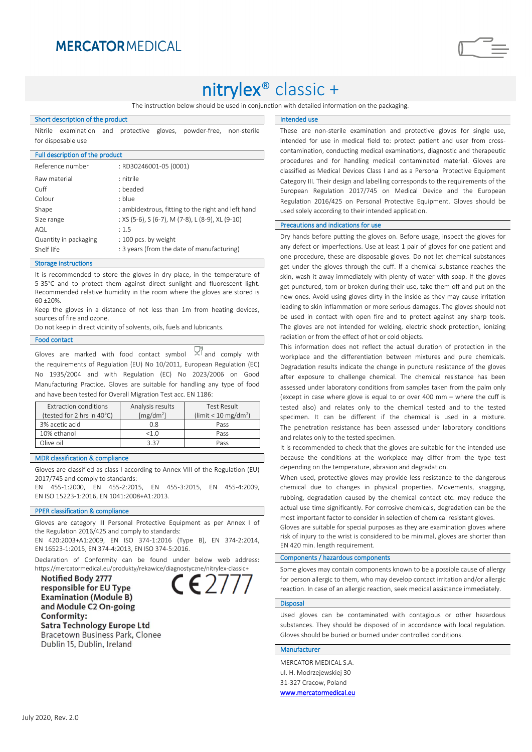### **MERCATOR MEDICAL**

# nitrylex® classic +

The instruction below should be used in conjunction with detailed information on the packaging.

#### Short description of the product

Nitrile examination and protective gloves, powder-free, non-sterile for disposable use

| Full description of the product |                                                    |  |  |  |
|---------------------------------|----------------------------------------------------|--|--|--|
| Reference number                | : RD30246001-05 (0001)                             |  |  |  |
| Raw material                    | : nitrile                                          |  |  |  |
| Cuff                            | : beaded                                           |  |  |  |
| Colour                          | : blue                                             |  |  |  |
| Shape                           | : ambidextrous, fitting to the right and left hand |  |  |  |
| Size range                      | : XS (5-6), S (6-7), M (7-8), L (8-9), XL (9-10)   |  |  |  |
| AQL                             | : 1.5                                              |  |  |  |
| Quantity in packaging           | : 100 pcs. by weight                               |  |  |  |
| Shelf life                      | : 3 years (from the date of manufacturing)         |  |  |  |
|                                 |                                                    |  |  |  |

#### Storage instructions

It is recommended to store the gloves in dry place, in the temperature of 5-35°C and to protect them against direct sunlight and fluorescent light. Recommended relative humidity in the room where the gloves are stored is  $60 + 20%$ 

Keep the gloves in a distance of not less than 1m from heating devices, sources of fire and ozone.

Do not keep in direct vicinity of solvents, oils, fuels and lubricants.

#### Food contact

Gloves are marked with food contact symbol  $\frac{1}{2}$  and comply with the requirements of Regulation (EU) No 10/2011, European Regulation (EC) No 1935/2004 and with Regulation (EC) No 2023/2006 on Good Manufacturing Practice. Gloves are suitable for handling any type of food and have been tested for Overall Migration Test acc. EN 1186:

| Extraction conditions      | Analysis results      | Test Result                           |
|----------------------------|-----------------------|---------------------------------------|
| (tested for 2 hrs in 40°C) | [mg/dm <sup>2</sup> ] | ( $\lim$ it < 10 mg/dm <sup>2</sup> ) |
| 3% acetic acid             | 0 ጸ                   | Pass                                  |
| 10% ethanol                | $<1$ $\Omega$         | Pass                                  |
| Olive oil                  | 3 37                  | Pass                                  |
|                            |                       |                                       |

#### MDR classification & compliance

Gloves are classified as class I according to Annex VIII of the Regulation (EU) 2017/745 and comply to standards:

EN 455-1:2000, EN 455-2:2015, EN 455-3:2015, EN 455-4:2009, EN ISO 15223-1:2016, EN 1041:2008+A1:2013.

#### PPER classification & compliance

Gloves are category III Personal Protective Equipment as per Annex I of the Regulation 2016/425 and comply to standards:

EN 420:2003+A1:2009, EN ISO 374-1:2016 (Type B), EN 374-2:2014, EN 16523-1:2015, EN 374-4:2013, EN ISO 374-5:2016.

Declaration of Conformity can be found under below web address: https://mercatormedical.eu/produkty/rekawice/diagnostyczne/nitrylex-classic+

**Notified Body 2777** responsible for EU Type **Examination (Module B)** and Module C2 On-going **Conformity: Satra Technology Europe Ltd Bracetown Business Park, Clonee** Dublin 15, Dublin, Ireland



#### Intended use

These are non-sterile examination and protective gloves for single use, intended for use in medical field to: protect patient and user from crosscontamination, conducting medical examinations, diagnostic and therapeutic procedures and for handling medical contaminated material. Gloves are classified as Medical Devices Class I and as a Personal Protective Equipment Category III. Their design and labelling corresponds to the requirements of the European Regulation 2017/745 on Medical Device and the European Regulation 2016/425 on Personal Protective Equipment. Gloves should be used solely according to their intended application.

#### Precautions and indications for use

Dry hands before putting the gloves on. Before usage, inspect the gloves for any defect or imperfections. Use at least 1 pair of gloves for one patient and one procedure, these are disposable gloves. Do not let chemical substances get under the gloves through the cuff. If a chemical substance reaches the skin, wash it away immediately with plenty of water with soap. If the gloves get punctured, torn or broken during their use, take them off and put on the new ones. Avoid using gloves dirty in the inside as they may cause irritation leading to skin inflammation or more serious damages. The gloves should not be used in contact with open fire and to protect against any sharp tools. The gloves are not intended for welding, electric shock protection, ionizing radiation or from the effect of hot or cold objects.

This information does not reflect the actual duration of protection in the workplace and the differentiation between mixtures and pure chemicals. Degradation results indicate the change in puncture resistance of the gloves after exposure to challenge chemical. The chemical resistance has been assessed under laboratory conditions from samples taken from the palm only (except in case where glove is equal to or over 400 mm – where the cuff is tested also) and relates only to the chemical tested and to the tested specimen. It can be different if the chemical is used in a mixture. The penetration resistance has been assessed under laboratory conditions and relates only to the tested specimen.

It is recommended to check that the gloves are suitable for the intended use because the conditions at the workplace may differ from the type test depending on the temperature, abrasion and degradation.

When used, protective gloves may provide less resistance to the dangerous chemical due to changes in physical properties. Movements, snagging, rubbing, degradation caused by the chemical contact etc. may reduce the actual use time significantly. For corrosive chemicals, degradation can be the most important factor to consider in selection of chemical resistant gloves.

Gloves are suitable for special purposes as they are examination gloves where risk of injury to the wrist is considered to be minimal, gloves are shorter than EN 420 min. length requirement.

#### Components / hazardous components

Some gloves may contain components known to be a possible cause of allergy for person allergic to them, who may develop contact irritation and/or allergic reaction. In case of an allergic reaction, seek medical assistance immediately.

#### **Disposal**

Used gloves can be contaminated with contagious or other hazardous substances. They should be disposed of in accordance with local regulation. Gloves should be buried or burned under controlled conditions.

### Manufacturer

MERCATOR MEDICAL S.A. ul. H. Modrzejewskiej 30 31-327 Cracow, Poland [www.mercatormedical.eu](http://www.mercatormedical.eu/)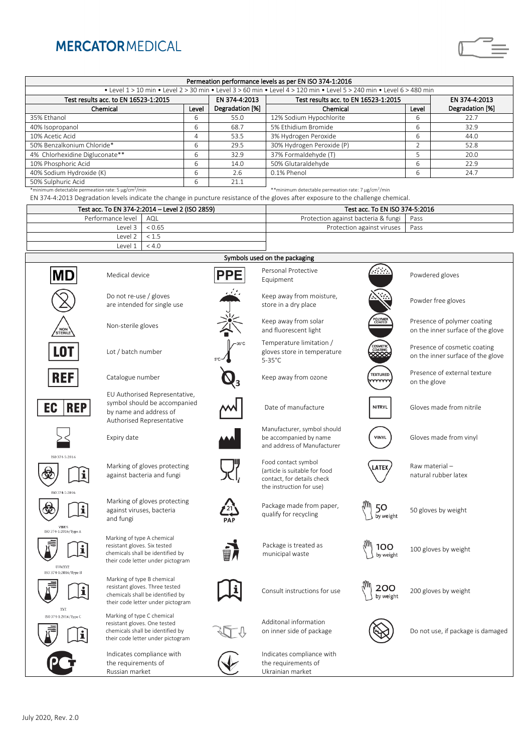## **MERCATORMEDICAL**

| Permeation performance levels as per EN ISO 374-1:2016                                                               |       |                 |                                      |       |                 |  |  |  |  |
|----------------------------------------------------------------------------------------------------------------------|-------|-----------------|--------------------------------------|-------|-----------------|--|--|--|--|
| • Level 1 > 10 min • Level 2 > 30 min • Level 3 > 60 min • Level 4 > 120 min • Level 5 > 240 min • Level 6 > 480 min |       |                 |                                      |       |                 |  |  |  |  |
| Test results acc. to EN 16523-1:2015                                                                                 |       | EN 374-4:2013   | Test results acc. to EN 16523-1:2015 |       | EN 374-4:2013   |  |  |  |  |
| Chemical                                                                                                             | Level | Degradation [%] | Chemical                             | Level | Degradation [%] |  |  |  |  |
| 35% Ethanol                                                                                                          | ь     | 55.0            | 12% Sodium Hypochlorite              | b     | 22.7            |  |  |  |  |
| 40% Isopropanol                                                                                                      | 6     | 68.7            | 5% Ethidium Bromide                  | ь     | 32.9            |  |  |  |  |
| 10% Acetic Acid                                                                                                      | 4     | 53.5            | 3% Hydrogen Peroxide                 | 6     | 44.0            |  |  |  |  |
| 50% Benzalkonium Chloride*                                                                                           | 6     | 29.5            | 30% Hydrogen Peroxide (P)            | n     | 52.8            |  |  |  |  |
| 4% Chlorhexidine Digluconate**                                                                                       | 6     | 32.9            | 37% Formaldehyde (T)                 | 5     | 20.0            |  |  |  |  |
| 10% Phosphoric Acid                                                                                                  | 6     | 14.0            | 50% Glutaraldehyde                   | 6     | 22.9            |  |  |  |  |
| 40% Sodium Hydroxide (K)                                                                                             | 6     | 2.6             | 0.1% Phenol                          | 6     | 24.7            |  |  |  |  |
| 50% Sulphuric Acid                                                                                                   | b     | 21.1            |                                      |       |                 |  |  |  |  |
|                                                                                                                      |       |                 |                                      |       |                 |  |  |  |  |

\*minimum detectable permeation rate: 5 µg/cm<sup>2</sup>

/min  $*$ \*minimum detectable permeation rate: 7 µg/cm<sup>2</sup>/min EN 374-4:2013 Degradation levels indicate the change in puncture resistance of the gloves after exposure to the challenge chemical.

| Test acc. To EN 374-2:2014 - Level 2 (ISO 2859) |                  | Test acc. To EN ISO 374-5:2016             |  |  |
|-------------------------------------------------|------------------|--------------------------------------------|--|--|
| Performance level   AQL                         |                  | Protection against bacteria & fungi   Pass |  |  |
|                                                 | level 3 L < 0.65 | Protection against viruses Pass            |  |  |
| level 2 < 1                                     |                  |                                            |  |  |
|                                                 |                  |                                            |  |  |